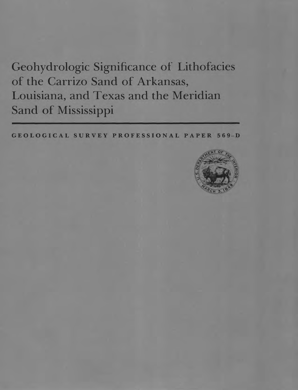Geohydrologic Significance of Lithofacies of the Carrizo Sand of Arkansas, Louisiana, and Texas and the Meridian Sand of Mississippi

**GEOLOGICAL SURVEY PROFESSIONAL PAPER 569-D**

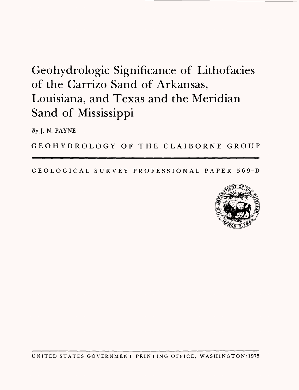# Geohydrologic Significance of Lithofacies of the Carrizo Sand of Arkansas, Louisiana, and Texas and the Meridian Sand of Mississippi

*By* J. N. PAYNE

GEOHYDROLOGY OF THE CLAIBORNE GROUP

GEOLOGICAL SURVEY PROFESSIONAL PAPER 569-D



UNITED STATES GOVERNMENT PRINTING OFFICE, WASHINGTON:1975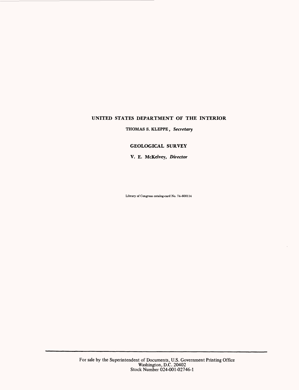### **UNITED STATES DEPARTMENT OF THE INTERIOR**

### **THOMAS S.KLEPPE,** *Secretary*

### **GEOLOGICAL SURVEY**

**V. E. McKelvey,** *Director*

Library of Congress catalog-card No. 74-600114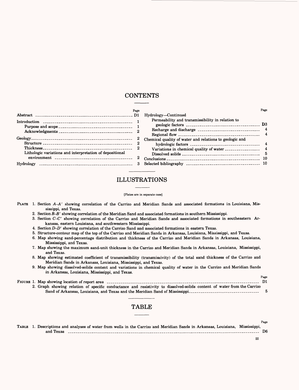### **CONTENTS**

|                                                          | Page        |                                                         | Page |
|----------------------------------------------------------|-------------|---------------------------------------------------------|------|
|                                                          |             | Hydrology-Continued                                     |      |
|                                                          |             | Permeability and transmissibility in relation to        |      |
| Lithologic variations and interpretation of depositional | 2<br>2<br>2 | Chemical quality of water and relations to geologic and | 5    |
|                                                          |             |                                                         |      |

## ILLUSTRATIONS

#### [Plates are in separate case]

- PLATE 1. Section *A-A'* showing correlation of the Carrizo and Meridian Sands and associated formations in Louisiana, Mississippi, and Texas.
	- 2. Section *B-B'* showing correlation of the Meridian Sand and associated formations in southern Mississippi.
	- 3. Section C-C" showing correlation of the Carrizo and Meridian Sands and associated formations in southeastern Arkansas, eastern Louisiana, and southwestern Mississippi.
	- 4. Section *D-D'* showing correlation of the Carrizo Sand and associated formations in eastern Texas.
	- 5. Structure-contour map of the top of the Carrizo and Meridian Sands in Arkansas, Louisiana, Mississippi, and Texas.
	- 6. Map showing sand-percentage distribution and thickness of the Carrizo and Meridian Sands in Arkansas, Louisiana, Mississippi, and Texas.
	- 7. Map showing the maximum sand-unit thickness in the Carrizo and Meridian Sands in Arkansas, Louisiana, Mississippi, and Texas.
	- 8. Map showing estimated coefficient of transmissibility (transmissivity) of the total sand thickness of the Carrizo and Meridian Sands in Arkansas, Louisiana, Mississippi, and Texas.
	- 9. Map showing dissolved-solids content and variations in chemical quality of water in the Carrizo and Meridian Sands in Arkansas, Louisiana, Mississippi, and Texas.

FIGURE 1. Map showing location of report area \_\_\_\_\_\_\_\_\_\_\_\_\_\_\_\_\_\_\_\_\_\_\_\_\_\_\_\_\_\_\_\_\_\_ Dl 2. Graph showing relation of specific conductance and resistivity to dissolved-solids content of water from the Carrizo Sand of Arkansas, Louisiana, and Texas and the Meridian Sand of Mississippi\_\_\_\_\_\_\_\_\_\_\_\_\_\_\_\_\_ 5

### TABLE

TABLE 1. Descriptions and analyses of water from wells in the Carrizo and Meridian Sands in Arkansas, Louisiana, Mississippi, and Texas \_\_\_\_\_\_\_\_\_\_\_\_\_\_\_\_\_\_\_\_\_\_\_\_\_\_\_\_\_\_\_\_\_\_\_\_\_\_\_\_\_\_\_\_\_\_\_\_\_\_\_\_\_\_\_\_\_\_\_\_\_\_\_\_ D6

Page

Page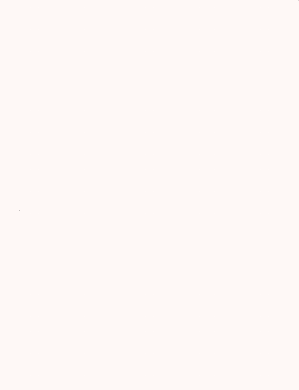$\label{eq:2.1} \mathcal{L}(\mathcal{A}) = \mathcal{L}(\mathcal{A}) \mathcal{L}(\mathcal{A}) = \mathcal{L}(\mathcal{A})$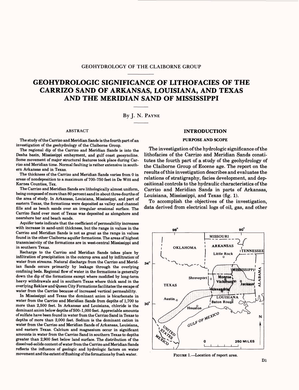#### GEOHYDROLOGY OF THE CLAIBORNE GROUP

# **GEOHYDROLOGIC SIGNIFICANCE OF LITHOFACIES OF THE CARRIZO SAND OF ARKANSAS, LOUISIANA, AND TEXAS AND THE MERIDIAN SAND OF MISSISSIPPI**

### By J. N. PAYNE

### ABSTRACT

The study of the Carrizo and Meridian Sands is the fourth part of an investigation of the geohydrology of the Claiborne Group.

The regional dip of the Carrizo and Meridian Sands is into the Desha basin, Mississippi embayment, and gulf coast geosyncline. Some movement of major structural features took place during Carrizo and Meridian time. Normal faulting is rather extensive in southern Arkansas and in Texas.

The thickness of the Carrizo and Meridian Sands varies from 0 in areas of nondeposition to a maximum of 700-750 feet in De Witt and Karnes Counties, Tex.

The Carrizo and Meridian Sands are lithologically almost uniform, being composed of more than 80 percent sand in about three-fourths of the area of study. In Arkansas, Louisiana, Mississippi, and part of eastern Texas, the formations were deposited as valley and channel fills and as beach sands over an irregular erosional surface. The Carrizo Sand over most of Texas was deposited as alongshore and nearshore bar and beach sands.

Aquifer tests indicate that the coefficient of permeability increases with increase in sand-unit thickness, but the range in values in the Carrizo and Meridian Sands is not as great as the range in values found in the other Claiborne aquifer formations. The areas of highest transmissivity of the formations are in west-central Mississippi and in southern Texas.

Recharge to the Carrizo and Meridian Sands takes place by infiltration of precipitation in the outcrop area and by infiltration'of water from streams. Natural discharge from the Carrizo and Meridian Sands occurs primarily by leakage through the overlying confining beds. Regional flow of water in the formations is generally down the dip of the formations except where modified by long-term heavy withdrawals and in southern Texas where thick sand in the overlying Reklaw and Queen City Formations facilitates the escape of water from the Carrizo because of increased vertical permeability.

In Mississippi and Texas the dominant anion is bicarbonate in water from the Carrizo and Meridian Sands from depths of 1,700 to more than 2,500 feet. In Arkansas and Louisiana, chloride is the dominant anion below depths of 500-1,000 feet. Appreciable amounts of sulfate have been found in water from the Carrizo Sand in Texas to depths of more than 2,000 feet. Sodium is the dominant cation in water from the Carrizo and Meridian Sands of Arkansas, Louisiana, and eastern Texas. Calcium and magnesium occur in significant amounts in water from the Carrizo Sand in southern Texas to depths greater than 2,900 feet below land surface. The distribution of the dissolved-solids content of water from the Carrizo and Meridian Sands reflects the influence of geologic and hydrologic factors on water movement and the extent of flushing of the formations by fresh water.

#### **INTRODUCTION**

#### **PURPOSE AND SCOPE**

The investigation of the hydrologic significance of the lithofacies of the Carrizo and Meridian Sands constitutes the fourth part of a study of the geohydrology of the Claiborne Group of Eocene age. The report on the results of this investigation describes and evaluates the relations of stratigraphy, facies development, and depositional controls to the hydraulic characteristics of the Carrizo and Meridian Sands in parts of Arkansas, Louisiana, Mississippi, and Texas (fig. 1).

To accomplish the objectives of the investigation, data derived from electrical logs of oil, gas, and other



FIGURE 1. Location of report area.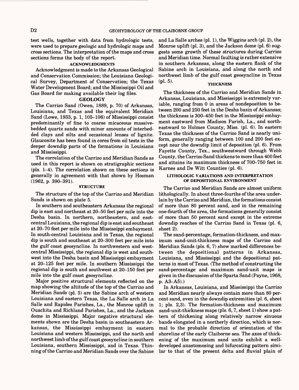test wells, together with data from hydrologic tests, were used to prepare geologic and hydrologic maps and cross sections. The interpretation of the maps and cross sections forms the body of the report.

#### **ACKNOWLEDGMENTS**

Acknowledgment is made to the Arkansas Geological and Conservation Commission; the Louisiana Geological Survey, Department of Conservation; the Texas Water Development Board; and the Mississippi Oil and Gas Board for making available their log files.

#### **GEOLOGY**

The Carrizo Sand (Owen, 1889, p. 70) of Arkansas, Louisiana, and Texas and the equivalent Meridian Sand (Lowe, 1933, p. 1, 105-106) of Mississippi consist predominantly of fine to coarse micaceous massivebedded quartz sands with minor amounts of interbedded clays and silts and occasional lenses of lignite. Glauconite has been found in cores from oil tests in the deeper downdip parts of the formations in Louisiana and Mississippi.

The correlation of the Carrizo and Meridian Sands as used in this report is shown on stratigraphic sections (pis. 1-4). The correlation shown on these sections is generally in agreement with that shown by Hosman (1962, p. 390-391).

#### **STRUCTURE**

The structure of the top of the Carrizo and Meridian Sands is shown on plate 5.

In southern and southeastern Arkansas the regional dip is east and northeast at 20-50 feet per mile into the Desha basin. In northern, northeastern, and eastcentral Louisiana, the regional dip is east and southeast at 20-70 feet per mile into the Mississippi embayment. In south-central Louisiana and in Texas, the regional dip is south and southeast at 20-300 feet per mile into the gulf coast geosyncline. In northwestern and westcentral Mississippi, the regional dip is west and southwest into the Desha basin and Mississippi embayment at 20-125 feet per mile. In southern Mississippi the regional dip is south and southwest at 20-150 feet per mile into the gulf coast geosyncline.

Major positive structural elements, reflected on the map showing the altitude of the top of the Carrizo and Meridian Sands (pi. 5) are the Sabine arch of western Louisiana and eastern Texas, the La Salle arch in La Salle and Rapides Parishes, La., the Monroe uplift in Ouachita and Richland Parishes, La., and the Jackson dome in Mississippi. Major negative structural elements shown are the Desha basin in southeastern Arkansas, the Mississippi embayment in eastern Louisiana and western Mississippi, and the north and northwest limb of the gulf coast geosyncline in southern Louisiana, southern Mississippi, and in Texas. Thinning of the Carrizo and Meridian Sands over the Sabine

and La Salle arches (pi. 1), the Wiggins arch (pi. 2), the Monroe uplift (pi. 3), and the Jackson dome (pi. 6) suggests some growth of these structures during Carrizo and Meridian time. Normal faulting is rather extensive in southern Arkansas, along the eastern flank of the Sabine arch in Louisiana, and along the north and northwest limb of the gulf coast geosyncline in Texas (pl. 5).

#### **THICKNESS**

The thickness of the Carrizo and Meridian Sands in Arkansas, Louisiana, and Mississippi is extremely variable, ranging from 0 in areas of nondeposition to between 200 and 250 feet in the Desha basin of Arkansas; the thickness is 300-450 feet in the Mississippi embayment eastward from Madison Parish, La., and northeastward to Holmes County, Miss. (pl. 6). In eastern Texas the thickness of the Carrizo Sand is nearly uniform, generally ranging between 100 and 200 feet except near the downdip limit of deposition (pl. 6). From Fayette County, Tex., southwestward through Webb County, the Carrizo Sand thickens to more than 400 feet and attains its maximum thickness of 700-750 feet in Karnes and De Witt Counties (pl. 6).

#### **LITHOLOGIC VARIATIONS AND INTERPRETATION OF DEPOSITIONAL ENVIRONMENT**

The Carrizo and Meridian Sands are almost uniform lithologically. In about three-fourths of the area underlain by the Carrizo and Meridian, the formations consist of more than 80 percent sand, and in the remaining one-fourth of the area, the formations generally consist of more than 50 percent sand except in the extreme downdip reaches of the Carrizo Sand in Texas (pl. 6, sheet 2).

The sand-percentage, formation-thickness, and maximum sand-unit-thickness maps of the Carrizo and Meridian Sands (pis. 6, 7) show marked differences between the depositional patterns in Arkansas, Louisiana, and Mississippi and the depositional patterns in most of Texas. (The method of constructing the sand-percentage and maximum sand-unit maps is given in the discussion of the Sparta Sand (Payne, 1968, p. A3-A5).)

In Arkansas, Louisiana, and Mississippi the Carrizo and Meridian nearly always contain more than 80 percent sand, even in the downdip extremities (pl. 6, sheet 1; pis. 2,3). The formation-thickness and maximum sand-unit-thickness maps (pis. 6, 7, sheet 1) show a pattern of thickening along relatively narrow sinuous bands elongated in a northerly direction, which is normal to the probable direction of orientation of the shoreline of the early Claiborne sea. The axes of thickening of the maximum sand units exhibit a welldeveloped anastomosing and bifurcating pattern similar to that of the present delta and fluvial plain of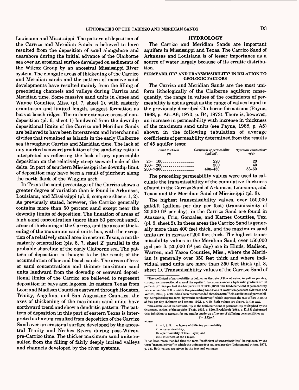Louisiana and Mississippi. The pattern of deposition of the Carrizo and Meridian Sands is believed to have resulted from the deposition of sand alongshore and nearshore during the initial advance of the Claiborne sea over an erosional surface developed on sediments of the Wilcox Group by an ancestral Mississippi River system. The elongate areas of thickening of the Carrizo and Meridian sands and the pattern of massive sand developments have resulted mainly from the filling of preexisting channels and valleys during Carrizo and Meridian time. Some massive sand units in Jones and Wayne Counties, Miss. (pi. 7, sheet 1), with easterly orientation and limited length, suggest formation as bars or beach ridges. The rather extensive areas of nondeposition (pi. 6, sheet 1) landward from the downdip depositional limits of the Carrizo and Meridian Sands are believed to have been interstream and interchannel divides that remained as islands in the early Claiborne sea throughout Carrizo and Meridian time. The lack of any marked seaward gradation of the sand-clay ratio is interpreted as reflecting the lack of any appreciable deposition on the relatively steep seaward side of the delta. In part of southern Mississippi the downdip limit of deposition may have been a result of pinchout along the north flank of the Wiggins arch.

In Texas the sand percentage of the Carrizo shows a greater degree of variation than is found in Arkansas, Louisiana, and Mississippi (pi. 6, compare sheets 1, 2). As previously stated, however, the Carrizo generally contains more than 50 percent sand except near the downdip limits of deposition. The lineation of areas of high sand concentration (more than 80 percent sand). areas of thickening of the Carrizo, and the axes of thickening of the maximum sand units has, with the exception of a relatively small area in eastern Texas, a northeasterly orientation (pis. 6, 7, sheet 2) parallel to the probable shoreline of the early Claiborne sea. The pattern of deposition is thought to be the result of the accumulation of bar and beach sands. The areas of lesser sand concentrations and thinner maximum sand units landward from the downdip or seaward depositional limits of the Carrizo are believed to represent deposition in bays and lagoons. In eastern Texas from Leon and Madison Counties eastward through Houston, Trinity, Angelina, and San Augustine Counties, the axes of thickening of the maximum sand units have northward trend and show a dendritic pattern. The pattern of deposition in this part of eastern Texas is interpreted as having resulted from deposition of the Carrizo Sand over an erosional surface developed by the ancestral Trinity and Neches Rivers during post-Wilcox, pre-Carrizo time. The thicker maximum sand units resulted from the filling of fairly deeply incised valleys and channels developed by the river systems.

#### **HYDROLOGY**

The Carrizo and Meridian Sands are important aquifers in Mississippi and Texas. The Carrizo Sand of Arkansas and Louisiana is of lesser importance as a source of water largely because of its erratic distribution.

#### **PERMEABILITY1 AND TRANSMISSIBILITY2 IN RELATION TO GEOLOGIC FACTORS**

The Carrizo and Meridian Sands are the most uniform lithologically of the Claiborne aquifers; consequently, the range in values of the coefficients of permeability is not as great as the range of values found in the previously described Claiborne formations (Payne, 1968, p. A5-A6; 1970, p. B4; 1973). There is, however, an increase in permeability with increase in thickness of the maximum sand units (see Payne, 1968, p. A5) shown in the following tabulation of average coefficients of permeability determined from the results of 45 aquifer tests:

| Sand thickness    | Coefficient of permeability | Hydraulic conductivity |
|-------------------|-----------------------------|------------------------|
| (f <sub>t</sub> ) | (galdH <sup>2</sup> )       | $(\text{ft}/d)$        |
| $25 - 100$        | 220                         | 29                     |
| $100 - 200$       | 300                         | 40                     |
|                   | 400-450                     | 53–60                  |

The preceding permeability values were used to calculate the transmissibility of the cumulative thickness of sand in the Carrizo Sand of Arkansas, Louisiana, and Texas and the Meridian Sand of Mississippi (pi. 8).

The highest transmissibility values, over 150,000 gal/d/ft (gallons per day per foot) (transmissivity of 20,000 ft2 per day), in the Carrizo Sand are found in Atascosa, Frio, Gonzales, and Karnes Counties, Tex. (pi. 8, sheet 2). In these areas the Carrizo Sand is generally more than 400 feet thick, and the maximum sand units are in excess of 200 feet thick. The highest transmissibility values in the Meridian Sand, over 150,000 gpd per ft  $(20,000 \text{ ft}^2 \text{ per day})$  are in Hinds, Madison, Warren, and Yazoo Counties, Miss., where the Meridian is generally over 350 feet thick and where individual sand units are more than 250 feet thick (pi. 8, sheet 1). Transmissibility values of the Carrizo Sand of

- $i = 1, 2, 3, \ldots n$  layers of differing permeability,
- *T* =transmissibility,
- *Ki* =permeability of the *i* layer, and
- *mi* =thickness of the *i* layer.

<sup>&</sup>lt;sup>1</sup>The coefficient of permeability is defined as the rate of flow of water, in gallons per day, through a cross-sectional area of the aquifer 1 foot square under a hydraulic gradient of 100 percent, or 1 foot per foot at a temperature of 60°F (16°C). The field coefficient of permeability is the same rate of flow under the prevailing conditions of water temperature (Meinzer and Wenzel, 1942, p. 452). It has been recommended that the term "field coefficient of permeability" be replaced by the term "hydraulic conductivity," which expresses the rate of flow in units of feet per day (Lohman and others, 1972, p. 4-5). Both values are shown in the text.

<sup>&</sup>lt;sup>2</sup>The coefficient of transmissibility is the field coefficient of permeability multiplied by the thickness, in feet, of the aquifer (Theis, 1935, p. 520). Bredehoeft (1964, p. D168) elaborated this definition to account for an aquifer made up of layers of differing permeabilities as *T=\$Kimi,* 

where

It has been recommended that the term "coefficient of transmissibility" be replaced by the term "transmissivity" in which the units are feet squared per day (Lohman and others, 1972, p. 13). Both values are given in the text and on maps.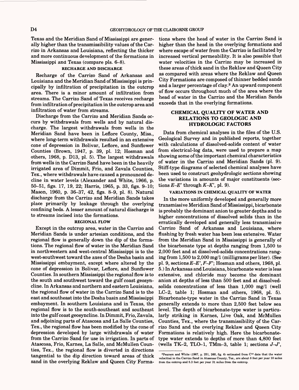Texas and the Meridian Sand of Mississippi are generally higher than the transmissibility values of the Carrizo in Arkansas and Louisiana, reflecting the thicker and more continuous development of the formations in Mississippi and Texas (compare pis. 6-8).

### **RECHARGE AND DISCHARGE**

Recharge of the Carrizo Sand of Arkansas and Louisiana and the Meridian Sand of Mississippi is principally by infiltration of precipitation in the outcrop area. There is a minor amount of infiltration from streams. The Carrizo Sand of Texas receives recharge from infiltration of precipitation in the outcrop area and infiltration of water from streams.

Discharge from the Carrizo and Meridian Sands occurs by withdrawals from wells and by natural discharge. The largest withdrawals from wells in the Meridian Sand have been in Leflore County, Miss., where long-term withdrawals resulted in an extensive cone of depression in Bolivar, Leflore, and Sunflower Counties (Brown, 1947, p. 39, pi. 12; Hosman and others, 1968, p. D13, pi. 5). The largest withdrawals from wells in the Carrizo Sand have been in the heavily irrigated area of Dimmit, Frio, and Zavala Counties, Tex., where withdrawals have caused a pronounced decline in water levels (Alexander and White, 1966, p. 50-51, figs. 17, 19, 22; Harris, 1965, p. 33, figs. 9-10; Mason, 1960, p. 36-37, 42, figs. 8-9, pi. 8). Natural discharge from the Carrizo and Meridian Sands takes place primarily by leakage through the overlying confining beds. A lesser amount of natural discharge is to streams incised into the formations.

#### **REGIONAL FLOW**

Except in the outcrop area, water in the Carrizo and Meridian Sands is under artesian conditions, and the regional flow is generally down the dip of the formations. The regional flow of water in the Meridian Sand in northwestern and west-central Mississippi is to the west-southwest toward the axes of the Desha basin and Mississippi embayment, except where altered by the cone of depression in Bolivar, Leflore, and Sunflower Counties. In southern Mississippi the regional flow is to the south and southwest toward the gulf coast geosyncline. In Arkansas and northern and eastern Louisiana, the regional flow of water in the Carrizo Sand is to the east and southeast into the Desha basin and Mississippi embayment. In southern Louisiana and in Texas, the regional flow is to the south-southeast and southeast into the gulf coast geosyncline. In Dimmit, Frio, *Zavala,*  and adjoining parts of Atascosa and La Salle Counties, Tex., the regional flow has been modified by the cone of depression developed by large withdrawals of water from the Carrizo Sand for use in irrigation. In parts of Atascosa, Frio, Karnes, La Salle, and McMullen Counties, Tex., the regional flow is diverted in directions tangential to the dip direction toward areas of thick sand in the overlying Reklaw and Queen City Formations where the head of water in the Carrizo Sand is higher than the head in the overlying formations and where escape of water from the Carrizo is facilitated by increased vertical permeability. It is also possible that water velocities in the Carrizo may be increased in these areas of thick sand in the Reklaw and Queen City as compared with areas where the Reklaw and Queen City Formations are composed of thinner bedded sands and a larger percentage of clay.3 An upward component of flow occurs throughout much of the area where the head of water in the Carrizo and the Meridian Sands exceeds that in the overlying formations.

### **CHEMICAL QUALITY OF WATER AND RELATIONS TO GEOLOGIC AND HYDROLOGIC FACTORS**

Data from chemical analyses in the files of the U.S. Geological Survey and in published reports, together with calculations of dissolved-solids content of water from electrical-log data, were used to prepare a map showing some of the important chemical characteristics of water in the Carrizo and Meridian Sands (pi. 9). Stiff-type diagrams of selected chemical analyses have been used to construct geohydrologic sections showing the variations in amounts of major constituents (sections *E-E'* through *K-K',* pi. 9).

### **VARIATIONS IN CHEMICAL QUALITY OF WATER**

In the more uniformly developed and generally more transmissive Meridian Sand of Mississippi, bicarbonate is probably the dominant anion to greater depths and to higher concentrations of dissolved solids than in the erratically developed and generally less transmissive Carrizo Sand of Arkansas and Louisiana, where flushing by fresh water has been less extensive. Water from the Meridian Sand in Mississippi is generally of the bicarbonate type at depths ranging from 1,500 to 2,000 feet and at dissolved-solids concentrations ranging from 1,500 to 2,000 mg/1 (milligrams per liter). (See pi. 9, sections *E-E', F-F';* Hosman and others, 1968, pi. 5.) In Arkansas and Louisiana, bicarbonate water is less extensive, and chloride may become the dominant anion at depths of less than 500 feet and at dissolvedsolids concentrations of less than 1,000 mg/1 (well LC-2, table 1; Hosman and others, 1968, pi. 5). Bicarbonate-type water in the Carrizo Sand in Texas generally extends to more than 2,500 feet below sea level. The depth of bicarbonate-type water is particularly striking in Karnes, Live Oak, and McMullen Counties, Tex., where the transmissibility of the Carrizo Sand and the overlying Reklaw and Queen City Formations is relatively high. Here the bicarbonatetype water extends to depths of more than 4,800 feet (wells TK-2, TLO-1, TMm-3, table 1; sections  $J-J'$ ,

 $3$ Pearson and White (1967, p. 251, 260, fig. 6) estimated from  $C^{14}$  data that the water velocities in the Carrizo Sand in Atascosa County, Tex., are about 8 feet per year 10 miles from the outcrop and 5.3 feet per year 31 miles from the outcrop.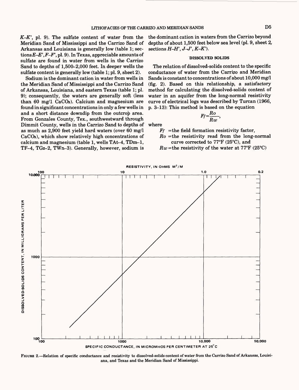*K-K\* pi. 9). The sulfate content of water from the Meridian Sand of Mississippi and the Carrizo Sand of Arkansas and Louisiana is generally low (table 1; sections  $E-E$ ',  $F-F$ ', pl. 9). In Texas, appreciable amounts of sulfate are found in water from wells in the Carrizo Sand to depths of 1,500-2,000 feet. In deeper wells the sulfate content is generally low (table 1; pi. 9, sheet 2).

Sodium is the dominant cation in water from wells in the Meridian Sand of Mississippi and the Carrizo Sand of Arkansas, Louisiana, and eastern Texas (table 1; pi. 9); consequently, the waters are generally soft (less than 60 mg/1 CaCOs). Calcium and magnesium are found in significant concentrations in only a few wells in and a short distance downdip from the outcrop area. From Gonzales County, Tex., southwestward through Dimmit County, wells in the Carrizo Sand to depths of as much as 2,900 feet yield hard waters (over 60 mg/1 CaCOs), which show relatively high concentrations of calcium and magnesium (table 1, wells TAt-4, TDm-1, TF-4, TGz-2, TWn-3). Generally, however, sodium is

the dominant cation in waters from the Carrizo beyond depths of about 1,500 feet below sea level (pi. 9, sheet *2,*  sections  $H-H$ ',  $J-J'$ ,  $K-K'$ ).

#### **DISSOLVED SOLIDS**

The relation of dissolved-solids content to the specific conductance of water from the Carrizo and Meridian Sands is constant to concentrations of about 10,000 mg/1 (fig. 2). Based on this relationship, a satisfactory method for calculating the dissolved-solids content of water in an aquifer from the long-normal resistivity curve of electrical logs was described by Turcan (1966, p. 3-13): This method is based on the equation

$$
F_f = \frac{Ro}{Rw},
$$

where  $F_f$  =the field formation resistivity factor,

- *Ro* =the resistivity read from the long-normal curve corrected to 77°F (25°C), and
- $Rw$ =the resistivity of the water at 77°F (25°C)



FIGURE 2.-Relation of specific conductance and resistivity to dissolved-solids content of water from the Carrizo Sand of Arkansas, Louisiana, and Texas and the Meridian Sand of Mississippi.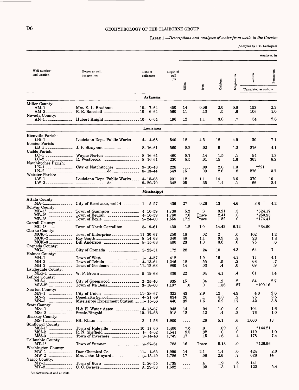.7 .9 1.4 2.7

2.6 2.5 3.8 1.6 1.0 13

1.0 7.4

2.0

 $-5.4$ 

[Analyses by U.S. Geological Analyses, in Owner or well designation Date of collection Depth of well (ft) Silica<br>Leo a o  $\overline{\phantom{a}}$ Na S 3 £ Potassium Calculated as sodium Arkansas Miller County: AM-1 AM-2 \_\_\_\_\_\_\_ . Nevada County: AN-1 \_\_ \_ \_\_\_\_ \_ Mrs. E. L. Bradham . R. E. Ransdell Hubert Knight \_\_\_\_\_\_\_\_\_\_\_\_\_\_\_\_\_ 10- 6-64 10- 7-64 10- 6-64 400 560 196 14 11 12 0.06 .13 1.1 2.6 .5 3.0 0.8 .6 .7 153 106 54  $\begin{array}{c} 2.3 \\ 1.0 \end{array}$ 2.6 Louisiana Louisiana Dept. Public Works .. J. F. Strayhan \_\_\_\_\_\_\_\_\_\_\_\_ Wayne Norton . R. Westbrook City of Natchitoches do Louisiana Dept. Public Works do \_ 4- 4-68 8-16-61 8-16-61  $8 - 16 - 61$  $9 - 10 - 43$  $8 - 13 - 44$  $4 - 15 - 68$  $9 - 29 - 70$ 540 560 460 230 228 549 201 342 18 8.2 8.7 8.5 15 12 25 4.5 .02 .14 .01 .09 .09 1.1 .35 18 5 1.5 15 2.6 2.6 14 1.4 4.9 1.3 .1 1.6 1.3 .8 3.6 .1 30 216 94 363  $\mathbf{1}$ 276 71 4.1 1.3 8.2 3.7 370 10 66 2.4 Mississippi City of Kosciusko, well 4 Town of Gunnison Town of Beulah Town of Boyle \_\_\_\_\_\_\_\_\_\_\_\_\_\_\_\_ Town of North Carrollton Town of Enterprise .\_ Ray Smith Bill Anderson City of Grenada 1- 5-57 4-16-59  $4 - 16 - 59$  $2 - 24 - 60$ 5-19-61 11-30-67  $\overline{8}$ -14-68  $8 - 15 - 68$ 5-23-51 436 1,738 1,760 1,555 430 250 340 400 172 27 5.2 7.6 17.2 1.2 18 46 23 28 0.28 .0 Trace Trace 1.0 .02 1.1 1.0 .24 13 3.21 2.41 1.52 14.42 2 9.9 3.6 10 4.6 .3 .0 .0 6.12 .0 .8 .0 4.3 3.8 \*524.17 \*250.93 \* 176.41 84.50 102 23 75 64 4.2  $\begin{array}{c} 1.2 \\ 1.3 \end{array}$  $\overline{6}$ 7 4.1

|                                            |                                                                                   | Louisiana   |       |           |              |                  |                                    |                 |                  |
|--------------------------------------------|-----------------------------------------------------------------------------------|-------------|-------|-----------|--------------|------------------|------------------------------------|-----------------|------------------|
| Bienville Parish:                          |                                                                                   |             |       |           |              |                  |                                    |                 |                  |
| $LBi-1$                                    | ---------- Louisiana Dept. Public Works <sub>----</sub> 4 4-68                    |             | 540   | 18        | 4.5          | 18               | 4.9                                | 30              | 7                |
| <b>Bossier Parish:</b>                     |                                                                                   |             |       |           |              |                  |                                    |                 |                  |
| $LB-1$ _______________                     | J. F. Strayhan _____________________ 8-16-61                                      |             | 560   | 8.2       | .02          | 5                | 1.3                                | 216             |                  |
| Caddo Parish:                              |                                                                                   |             |       |           |              |                  |                                    |                 |                  |
|                                            | LC-1 ______________ Wayne Norton __________________ 8-16-61                       |             | 460   | 8.7       | .14          | 1.5              | $\cdot$ 1                          | 94              |                  |
| $LC-2$ ______________                      | R. Westbrook _____________________ 8-16-61                                        |             | 230   | 8.5       | .01          | 15               | 1.6                                | 363             | 8                |
| Natchitoches Parish:                       |                                                                                   |             |       |           |              |                  |                                    |                 |                  |
|                                            | LN-1 ______________ City of Natchitoches ______________ 9-10-43                   |             | 228   |           | .09          | 2.6              | 1.3                                | $*221$          |                  |
|                                            |                                                                                   |             | 549   | 15        | .09          | 2.6              | .8                                 | 276             | 3                |
| Webster Parish:                            |                                                                                   |             |       |           |              |                  |                                    | 370             | 10               |
|                                            |                                                                                   |             | 201   | 12<br>25  | 1.1          | 14               | 3.6                                | 66              | $\boldsymbol{2}$ |
|                                            |                                                                                   |             | 342   |           | .35          | 1.4              | $\cdot$ 1                          |                 |                  |
|                                            |                                                                                   | Mississippi |       |           |              |                  |                                    |                 |                  |
| Attala County:                             |                                                                                   |             |       |           |              |                  |                                    |                 |                  |
| MA-1---------------                        | City of Kosciusko, well $4$ _______ 1– 5–57                                       |             | 436   | 27        | 0.28         | 13               | 4.6                                | 3.8             | 4                |
| <b>Bolivar County:</b>                     |                                                                                   |             |       |           |              |                  |                                    |                 |                  |
| $MB-1^2$ -----------                       | Town of Gunnison ______________ 4-16-59                                           |             | 1,738 | 5.2       | $\mathbf{0}$ | 3.21             | .3                                 | $*524.17$       |                  |
| $MB-2^2$<br>$- - - - - - - - - -$          | Town of Beulah _________________ 4-16-59                                          |             | 1,760 | 7.6       | Trace        | 2.41             | $\boldsymbol{0}$                   | $*250.93$       |                  |
| $MB-3^2$<br>                               | Town of Boyle ____________________ 2-24-60                                        |             | 1,555 | 17.2      | Trace        | 1.52             | .0                                 | $*176.41$       |                  |
| Carroll County:                            |                                                                                   |             |       |           |              |                  |                                    |                 |                  |
| $MC-12$ -----------                        | Town of North Carrollton ________ 5-19-61                                         |             | 430   | 1.2       | 1.0          | 14.42            | 6.12                               | $*34.50$        |                  |
| Clarke County:                             |                                                                                   |             |       |           |              |                  |                                    |                 |                  |
| $MCK-1$ ______________                     | Town of Enterprise ______________ 11-30-67                                        |             | 250   | 18        | .02          | $\mathbf{2}$     | $\boldsymbol{0}$                   | 102             | 1                |
| $MCK-2$ ------------                       |                                                                                   |             | 340   | 46        | 1.1          | 9.9              | .8                                 | 23              | 1                |
|                                            | MCK-3 _____________ Bill Anderson __________________ 8-15-68                      |             | 400   | 23        | 1.0          | 3.6              | .0                                 | 75              |                  |
| Grenada County:                            |                                                                                   |             |       |           |              |                  |                                    |                 |                  |
| $MG-1$ _____________                       | City of Grenada ________________ 5-23-51                                          |             | 172   | 28        | .24          | 10               | 4.3                                | 64              |                  |
| Holmes County:                             |                                                                                   |             |       |           |              |                  |                                    |                 |                  |
| $MH-1$ _____________                       | Town of West ____________________ 1- 4-57                                         |             | 412   | $-- - -$  | 1.9          | 16               | 4.1                                | 17              | 4                |
| $MH-2$<br>$- - - - - - - - - - -$          | Town of Tchula ____________________ 4-13-64                                       |             | 1.246 | 18        | .55          | .5               | $\cdot^2$                          | 68              |                  |
| $MH-3$                                     | Town of Goodman ______________ 11-12-63                                           |             | 980   | 14        | .03          | $\mathbf{.4}$    | .0                                 | 69              |                  |
| Lauderdale County:                         |                                                                                   |             |       |           |              |                  |                                    |                 |                  |
| $MLd-1$ _____________                      | W. P. Brown -------------------- 9-19-68                                          |             | 336   | 22        | .04          | 4.1              | .4                                 | 61              |                  |
| Leflore County:                            |                                                                                   |             |       |           |              |                  |                                    |                 |                  |
| MLf–1<br>------------                      | City of Greenwood _______________ 2-25-40                                         |             | 835   | 15        | .04          | 1.2              | .2                                 | 84<br>$*100.16$ |                  |
| $MLf-2^2$ ______________                   |                                                                                   |             | 1,107 | $\cdot$   | .0           | 1.36             | .87                                |                 |                  |
| Newton County:                             |                                                                                   |             |       |           |              |                  |                                    |                 |                  |
| $MN-1$                                     | City of Union ____________________11-28-67                                        |             | 323   | 43        | 2.9          | 12               | 4.9                                | 4.0             | $\overline{2}$   |
| $MN-2$<br>_____________                    | Conehatta School__________________ 4-21-69                                        |             | 634   | 26        | $\cdot1$     | 3.3              | $\cdot$ .2                         | 75              | 2                |
| $MN-3$ ____________                        | Mississippi Experiment Station __ 11-15-66                                        |             | 440   | 39        | 1.6          | 6.2              | 1.7                                | 42              | 3                |
| <b>Scott County:</b>                       |                                                                                   |             |       |           |              |                  |                                    | 104             | 1                |
| $MSc-1$ _____________                      | H.& H. Water Assoc ____________ 4-15-67                                           |             | 945   | 14<br>12  | .04          | 1.0              | $\overline{\mathbf{0}}$<br>$\cdot$ | 76              | 1                |
| $\text{MSc-2}$ _____________               | Steele-Ringold ___________________ 10- 17-68                                      |             | 918   |           | .12          | $\cdot$ 4        |                                    |                 |                  |
| Sharkey County:<br>$MS-1$ ________________ | Bill Klaus ___________________________ 2- 1-56                                    |             | 1,900 |           | .26          | 5.1              | .6                                 | 1,060           | 13               |
| <b>Sunflower County:</b>                   |                                                                                   |             |       | ----      |              |                  |                                    |                 |                  |
|                                            | Town of Ruleville ______________ 10-17-60                                         |             | 1,406 | 7.6       | $\bf{0}$     | .89              | $\cdot$                            | $*144.21$       |                  |
|                                            |                                                                                   |             | 1,541 | 9.5       | $.32\,$      | .0               | $\boldsymbol{0}$                   | 119             | 1                |
| MSf–3<br>$- - - - - - - - - - -$           | Town of Inverness $\frac{1}{2}$ = $\frac{1}{2}$ = $\frac{3}{4}$ = $\frac{14}{40}$ |             | 1,749 | 17        | .15          | $1.6\phantom{0}$ | $\cdot$                            | 178             | 7                |
| Tallatchie County:                         |                                                                                   |             |       |           |              |                  |                                    |                 |                  |
| $MT-12$                                    | Town of Sumner ____________________ 2-27-61                                       |             | 783   | 16        | Trace        | 5.13             | $\boldsymbol{0}$                   | *126.96         |                  |
| ------------<br>Washington County:         |                                                                                   |             |       |           |              |                  |                                    |                 |                  |
|                                            | MW-1 ------------ Dow Chemical Co -------------- 11- 1-63                         |             | 1.990 | 14        | 2.1          | 1.4              | $\boldsymbol{0}$                   | 424             | $\overline{2}$   |
| $MW-2$ ____________                        |                                                                                   |             | 1,786 | 17        | .08          | 2.6              | .7                                 | 628             | 14               |
| Yazoo County:                              |                                                                                   |             |       |           |              |                  |                                    |                 |                  |
|                                            | $MY-1$                                                                            |             | 1,735 | $- - - -$ | $\cdot$ 4    | $1.2\,$          | .5                                 | 141             |                  |
|                                            |                                                                                   |             | 1,682 | $  -$     | .02          | .3               | 1.4                                | 122             | 5                |
|                                            |                                                                                   |             |       |           |              |                  |                                    |                 |                  |

See footnotes at end of table.

Well number<sup>1</sup> and location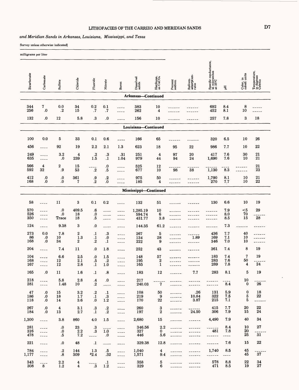*and Meridian Sands in Arkansas, Louisiana, Mississippi, and Texas*

Survey unless otherwise indicated]

| milligrams per liter |  |  |
|----------------------|--|--|
|----------------------|--|--|

| Bicarbonate                                      | Carbonate                                        | Sulfate                                    | Chloride                                           | Fluoride                                         | Nitrate                                               | Boron                                   | Dissolved<br>solids   | $\begin{array}{l} \rm{Hardness},\\ \rm{as\;CaCO_{3}}\\ \end{array}$ | Percent<br>sodium                                | Sodium-<br>adsorption-<br>ratio | Specific conductance,<br>in micromhos<br>at 25°C | $\overline{H}$          | Color, in<br>cobalt units | Temperature,<br>in degrees<br>Celsius |
|--------------------------------------------------|--------------------------------------------------|--------------------------------------------|----------------------------------------------------|--------------------------------------------------|-------------------------------------------------------|-----------------------------------------|-----------------------|---------------------------------------------------------------------|--------------------------------------------------|---------------------------------|--------------------------------------------------|-------------------------|---------------------------|---------------------------------------|
|                                                  | Arkansas-Continued                               |                                            |                                                    |                                                  |                                                       |                                         |                       |                                                                     |                                                  |                                 |                                                  |                         |                           |                                       |
| 344<br>256                                       | 7<br>$\boldsymbol{0}$                            | 0.0<br>$\cdot^2$                           | 34<br>15                                           | 0.2<br>$\cdot$ 7                                 | 0.1<br>$\cdot 7$                                      |                                         | 383<br>262            | 10<br>4                                                             |                                                  |                                 | 692<br>452                                       | 8.4<br>8.1              | 8<br>10                   |                                       |
| 132                                              | .0                                               | 12                                         | 5.8                                                | $\cdot$ 3                                        | $\cdot$                                               |                                         | 156                   | 10                                                                  |                                                  |                                 | 257                                              | 7.8                     | 3                         | 18                                    |
| Louisiana-Continued                              |                                                  |                                            |                                                    |                                                  |                                                       |                                         |                       |                                                                     |                                                  |                                 |                                                  |                         |                           |                                       |
| 100                                              | 0.0                                              | 5                                          | 33                                                 | 0.1                                              | 0.6                                                   |                                         | 166                   | 65                                                                  |                                                  |                                 | 320                                              | 6.5                     | 10                        | 26                                    |
| 456                                              | ----                                             | 92                                         | 19                                                 | 2.2                                              | 2.1                                                   | ----<br>1.3                             | 623                   | 18                                                                  | 95                                               | 22                              | 986                                              | 7.7                     | 10                        | 22                                    |
| 249<br>635                                       | ----<br>$\frac{1}{2}$                            | 3.2<br>.0                                  | 4<br>239                                           | $\cdot$ <sup>2</sup><br>$1.\overline{5}$         | $\cdot$ <sub>3</sub><br>.1                            | .31<br>1.04                             | 251<br>979            | 4<br>44                                                             | 97<br>94                                         | 20<br>24                        | 417<br>1,690                                     | 7.6<br>7.6              | 30<br>10                  | 21<br>21                              |
| 566<br>592                                       | $\boldsymbol{4}$<br>32                           | 2<br>.9                                    | 15<br>53                                           | ----<br>$.2\,$                                   | $\stackrel{.}{.}5$                                    | ----<br>$--- -$                         | 525<br>677            | 12<br>$\overline{10}$                                               | 98                                               | 38                              | 1,130                                            | 8.3                     |                           | 21<br>23                              |
| 412<br>168                                       | .0<br>$\cdot$                                    | $\cdot$<br>$\boldsymbol{0}$                | 361<br>7                                           | $\overset{.9}{.2}$                               | $\stackrel{.2}{.0}$                                   | ----<br>$- - - -$                       | 975<br>185            | 50<br>4                                                             |                                                  |                                 | 1,790<br>270                                     | 8.1<br>$\bf 7.7$        | 10<br>10                  | 21<br>$\bf{22}$                       |
|                                                  |                                                  |                                            |                                                    |                                                  |                                                       |                                         | Mississippi-Continued |                                                                     |                                                  |                                 |                                                  |                         |                           |                                       |
| 58                                               | $\frac{1}{2}$                                    | 11                                         | 3                                                  | 0.1                                              | 0.2                                                   |                                         | 132                   | 51                                                                  |                                                  |                                 | 130                                              | 6.6                     | 10                        | 19                                    |
| 570                                              | ----                                             | $\boldsymbol{0}$                           | 409.5                                              | $\boldsymbol{.6}$                                | ----                                                  | ----                                    | 1,285.19              | 10                                                                  |                                                  |                                 |                                                  | 7.9                     | $5$                       | 29                                    |
| 526<br>350                                       | $- - - -$                                        | .0<br><b>Trace</b>                         | 18<br>18                                           | $\boldsymbol{.0}$<br>.5                          | $- - - -$                                             | ----                                    | 594.74<br>431.77      | 6<br>3.8                                                            |                                                  |                                 |                                                  | 8.0<br>8.5              | 70<br>15                  | 28                                    |
| 124                                              | ----                                             | 9.38                                       | 3                                                  | $0.$                                             | ----                                                  | $- - - -$                               | 144.35                | 61.2                                                                |                                                  |                                 |                                                  | 7.3                     |                           |                                       |
| 273<br>$\begin{array}{c} 86 \\ 168 \end{array}$  | 0.0<br>$\boldsymbol{0}$<br>$\boldsymbol{0}$      | 7.8<br>10<br>34                            | $\boldsymbol{2}$<br>1.3<br>$\bf{2}$                | $\cdot$<br>$\cdot$ 1<br>$\cdot^2$                | $\cdot$ <sup>3</sup><br>$\boldsymbol{0}$<br>$\cdot^1$ | ----                                    | 267<br>134<br>222     | $5\phantom{.0}$<br>${\bf 28}$<br>9                                  |                                                  | 1.89                            | 436<br>169<br>346                                | 7.7<br>7.1<br>7.0       | 40<br>10<br>10            |                                       |
| 204                                              | $- - - -$                                        | 7.4                                        | 11                                                 | $\cdot$                                          | 1.8                                                   | $- - - -$                               | 252                   | 43                                                                  | ------                                           |                                 | 361                                              | 7.4                     | 8                         | 19                                    |
| 104<br>$\begin{array}{c} 168 \\ 167 \end{array}$ | ----<br>$- - - -$                                | 6.6<br>12<br>12                            | 2.5<br>2.1<br>2.8                                  | $\bf{0}$<br>$\ddot{.}5$<br>$\cdot$               | 1.5<br>$\begin{array}{c} .2 \\ 1.0 \end{array}$       |                                         | 148<br>195<br>165     | 57<br>$\begin{smallmatrix}2\1\end{smallmatrix}$                     |                                                  |                                 | 183<br>283<br>289                                | 7.4<br>7.6<br>7.8       | 7<br>50<br>4              | 19<br>${\bf 24}$                      |
| 165                                              | $- - - -$<br>0.                                  | 11                                         | 1.6                                                | $\cdot^1$                                        | $\boldsymbol{.8}$                                     | $---$                                   | 183                   | 12                                                                  |                                                  | 7.7                             | 283                                              | 8.1                     | 5                         | 19                                    |
| 218                                              | $---$                                            | 5.8                                        | 2.8                                                | $\cdot$                                          | $\cdot$                                               | $- - - -$                               | 217                   |                                                                     |                                                  |                                 |                                                  | ----                    | 10                        | ------                                |
| 281                                              | $- - - -$                                        | 1.48                                       | 10                                                 | $\cdot$                                          | $- - - -$                                             | $\frac{1}{2}$                           | 240.03                | 7                                                                   | $- - -$                                          |                                 | ------                                           | 8.4                     | $\bf{0}$                  | 26                                    |
| 47<br>186<br>118                                 | $\bf{0}$<br>$\boldsymbol{0}$<br>$\boldsymbol{0}$ | 15<br>18<br>14                             | 3.2<br>1.7<br>3.6                                  | $\boldsymbol{.2}$<br>$\cdot$<br>$\boldsymbol{0}$ | $\cdot \mathbf{1}$<br>$\cdot$ <sub>3</sub><br>$1.2\,$ | $- - - -$<br>$\frac{1}{2}$<br>$- - - -$ | 108<br>219<br>170     | 50<br>9<br>22                                                       | $- - - - - -$<br>-------<br>$------$             | .26<br>10.84<br>3.87            | 131<br>322<br>215                                | 5.9<br>7.5<br>7.1       | 0<br>5<br>5               | 18<br>22<br>------                    |
| ${\bf 267}$<br>184                               | $\cdot$<br>$\boldsymbol{0}$                      | $\overline{\mathbf{4}}$<br>13              | 3.1<br>2.7                                         | $\stackrel{.3}{.1}$                              | $\overset{.2}{.2}$                                    | $- - - -$<br>$---$                      | 260<br>197            | 3<br>$\bf 2$                                                        | ------                                           | 24.50                           | 415<br>306                                       | $7.7\,$<br>7.9          | 20<br>15                  | $\bf{22}$<br>24                       |
| 1,300                                            | $  -$                                            | 3.8                                        | 860                                                | 4.0                                              | 1.5                                                   | $- - - -$                               | 2,680                 | 15                                                                  | ------                                           | ------                          | 4,490                                            | 7.9                     | 40                        | 34                                    |
| 281<br>316<br>478                                | $  -$<br>$- - - -$<br>$  -$                      | $\boldsymbol{0}$<br>$\boldsymbol{0}$<br>.5 | 23<br>$2.2\,$<br>7.2                               | $\boldsymbol{.3}$<br>$\boldsymbol{.3}$<br>$---$  | $---$<br>1.0<br>$\cdot$                               | $  -$<br>$\frac{1}{1}$<br>$---$         | 346.56<br>327<br>446  | 2.2<br>0<br>5.6                                                     | $\frac{1}{2}$<br>$---$<br>$-$ -<br>$\frac{1}{2}$ |                                 | 481<br>------                                    | 8.4<br>7.8<br>$- - - -$ | 10<br>20<br>25            | 27<br>------<br>31                    |
| ${\bf 221}$                                      | $  -$                                            | $\boldsymbol{0}$                           | 48                                                 | $\cdot$                                          | ----                                                  | $- - - -$                               | 329.38                | 12.8                                                                | ------                                           |                                 | ------                                           | 7.6                     | 15                        | 22                                    |
| 784<br>1,177                                     | $\frac{1}{2}$<br>$  -$                           | $\cdot$<br>8.                              | 144<br>309                                         | 1.3<br>32.4                                      | $.5\,$<br>.32                                         | $\frac{1}{2}$<br>$---$                  | 1,040<br>1,571        | $\overline{\mathbf{4}}$<br>9.4                                      | ------<br>------                                 |                                 | 1,740<br>------                                  | 8.5<br>----             | 45<br>45                  | 37                                    |
| 343<br>308                                       | $  -$<br>$\overline{\mathbf{8}}$                 | $2.2\,$<br>1.2                             | $\overline{\mathbf{4}}$<br>$\overline{\mathbf{4}}$ | $- - - -$<br>$\overline{.3}$                     | $\cdot$ 1<br>1.2                                      | $---$<br>$\frac{1}{2}$                  | 358<br>329            | $\begin{array}{c} 5 \\ 6 \end{array}$                               | ------<br>------                                 | ------<br>------                | 578<br>471                                       | $\bf 8.8$<br>8.5        | $\bf 22$<br>19            | 34<br>27                              |

 $\ddot{\phantom{a}}$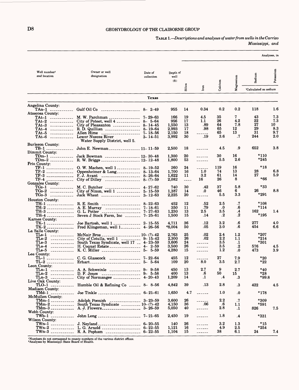TABLE 1. *Descriptions and analyses of water from wells in the Carrizo Mississippi, and*

|                                                    |                                                                                                                                                                                                                                                                                                        |                       |                                       |           |               |                    |                   |                       | Analyses, in |
|----------------------------------------------------|--------------------------------------------------------------------------------------------------------------------------------------------------------------------------------------------------------------------------------------------------------------------------------------------------------|-----------------------|---------------------------------------|-----------|---------------|--------------------|-------------------|-----------------------|--------------|
| Well number <sup>1</sup><br>and location           | Owner or well<br>designation                                                                                                                                                                                                                                                                           | Date of<br>collection | Depth of<br>well<br>(f <sub>t</sub> ) |           |               | Calcium            | Magnesium         | Sodium                | Potassium    |
|                                                    |                                                                                                                                                                                                                                                                                                        |                       |                                       | Silica    | $_{\rm Iron}$ |                    |                   | *Calculated as sodium |              |
|                                                    |                                                                                                                                                                                                                                                                                                        | <b>Texas</b>          |                                       |           |               |                    |                   |                       |              |
| Angelina County:                                   |                                                                                                                                                                                                                                                                                                        |                       |                                       |           |               |                    |                   |                       |              |
| $TAn-1$ -----------                                | Gulf Oil Co _____________________                                                                                                                                                                                                                                                                      | $8 - 2 - 49$          | 955                                   | 14        | 0.34          | 0.2                | 0.2               | 118                   | 1.6          |
| Atascosa County:                                   |                                                                                                                                                                                                                                                                                                        |                       |                                       |           |               |                    |                   |                       | 7.3          |
|                                                    | M. W. Parchman ________________                                                                                                                                                                                                                                                                        | 7– 29–63              | 166<br>956                            | 19<br>17  | 4.5<br>1.1    | 35<br>26           | 7.<br>4.2         | 43<br>22              | 7.3          |
| $TAt-2$ ------------<br>TAt–3                      | City of Poteet, well 4 _____________ 8- 5-64                                                                                                                                                                                                                                                           |                       | 1,550                                 | 13        | .89           | 64                 | 7.8               | 27                    | 10           |
| -------------<br>$TAt-4$ ------------              | City of Pleasanton _______________ 8-14-45<br>R. D. Quillian ____________________ 8-19-64                                                                                                                                                                                                              |                       | 2,993                                 | 17        | .98           | 65                 | 12                | 29                    | 8.3          |
| $TAt-5$ ------------                               | Allen Hime ______________________ 7-18-56                                                                                                                                                                                                                                                              |                       | 2,150                                 | 18        |               | 65                 | 13                | 31                    | 9.7          |
| TAt-6<br>------------                              | Lower Nueces River                                                                                                                                                                                                                                                                                     | $3 - 14 - 51$         | 3,992                                 | 30        | .19           | 3.6                | $\cdot$           | 244                   | 2.0          |
| Burleson County:                                   | Water Supply District, well 5.                                                                                                                                                                                                                                                                         |                       |                                       |           |               |                    |                   |                       |              |
| TB-1 <sub>--------</sub><br>------                 | John E. Newman _________________ 11– 11–59                                                                                                                                                                                                                                                             |                       | 2,500                                 | 18        | ------        | 4.5                | .9                | 652                   | 3.8          |
| Dimmit County:                                     |                                                                                                                                                                                                                                                                                                        |                       |                                       |           |               |                    |                   |                       |              |
| TDm-1 ____________                                 | Jack Bowman __________________ 12-30-48                                                                                                                                                                                                                                                                |                       | 1,300                                 | 20        | .             | 30                 | 16                | *110                  |              |
| TDm-2 ____________                                 | R. W. Briggs _______________________ 12-12-48                                                                                                                                                                                                                                                          |                       | 1,800                                 | 53        |               | 5.5                | 2.6               | $*245$                |              |
| Frio County:                                       |                                                                                                                                                                                                                                                                                                        |                       |                                       |           |               |                    |                   |                       |              |
|                                                    | O. W. Machen, well $1_{\text{2}}$ = $1_{\text{3}}$ = $1_{\text{4}}$ = $1_{\text{5}}$ = $19$ = $52$                                                                                                                                                                                                     |                       | 260                                   | 24        |               | 119                | 16                | $*18$                 |              |
|                                                    | Oppenheimer & Lang                                                                                                                                                                                                                                                                                     |                       | 1,700                                 | 16        | 1.0           | 74                 | 13                | 28                    | 6.8          |
| $TF-3$ --------------                              |                                                                                                                                                                                                                                                                                                        |                       | 1,622                                 | 11        | $3.2\,$       | 61                 | 14                | 27                    | 5.9          |
|                                                    |                                                                                                                                                                                                                                                                                                        |                       | 2,082                                 | $- - - -$ | 16            | 26                 | 8                 | *66                   |              |
| Gonzales County:<br>$TGz-1$ -------------          |                                                                                                                                                                                                                                                                                                        |                       |                                       | 30        | .42           | 37                 | 5.8               | *33                   |              |
| $TGz-2$ _____________                              | M. C. Butcher ___________________<br>City of Nixon, well $1$ ___________ 5-15-59                                                                                                                                                                                                                       | $4 - 27 - 62$         | 740<br>1,387                          | 14        | .0            | 46                 | 6                 | 26                    | 8.8          |
| $TGz-3$ _____________                              | Jack Wheat $\frac{1}{2}$ = $\frac{1}{2}$ = $\frac{1}{2}$ = $\frac{1}{2}$ = $\frac{1}{2}$ = $\frac{1}{2}$ = $\frac{1}{2}$ = $\frac{1}{2}$ = $\frac{1}{2}$ = $\frac{1}{2}$ = $\frac{1}{2}$ = $\frac{1}{2}$ = $\frac{1}{2}$ = $\frac{1}{2}$ = $\frac{1}{2}$ = $\frac{1}{2}$ = $\frac{1}{2}$ = $\frac{1}{$ |                       | 2,225                                 | 20        | ------        | 5.5                | $3.3\,$           | *291                  |              |
|                                                    |                                                                                                                                                                                                                                                                                                        |                       |                                       |           |               |                    |                   |                       |              |
| Houston County:<br><b>TH-1</b> ______________      | R. E. Smith _____________________                                                                                                                                                                                                                                                                      | $8 - 22 - 63$         | 452                                   | 12        | .52           | 2.5                | $\cdot^7$         | *108                  |              |
|                                                    | TH-2 ________________ A. E. Murray __________________                                                                                                                                                                                                                                                  | 7–18–61               | 350                                   | 11        | .79           | .0                 | .6                | $*114$                |              |
|                                                    | G. L. Potter __________________________ 7-27-63                                                                                                                                                                                                                                                        |                       | 1,230                                 | 13        | $2.5\,$       | 3.5                | .4                | 162                   | 1.4          |
|                                                    | Seven J Stock Farm, Inc ________                                                                                                                                                                                                                                                                       | 7– 25–61              | 1,500                                 | 15        | .14           | .2                 | $\cdot^2$         | *195                  |              |
| Karnes County:                                     |                                                                                                                                                                                                                                                                                                        |                       |                                       |           |               |                    |                   |                       |              |
|                                                    | Joe Bartosh, well $1$ ______________                                                                                                                                                                                                                                                                   | $2 - 15 - 55$         | 4,711                                 | 36        | .12           | $3.2\,$            | $\boldsymbol{.6}$ | 277                   | 4.0          |
|                                                    | Fred Klingeman, well 1.                                                                                                                                                                                                                                                                                | $4 - 26 - 56$         | 48,004                                | 50        | .05           | 3.0                | .6                | 454                   | 6.6          |
| La Salle County:                                   |                                                                                                                                                                                                                                                                                                        |                       |                                       |           |               |                    |                   |                       |              |
| TLs–1<br>____________                              | McNair Bros _____________________ 10-(?)-42                                                                                                                                                                                                                                                            |                       | 2,763                                 | 25        | .02           | 2.4                | $1.2\,$           | $*207$                |              |
| $\mathrm{TLs\text{-}2}$<br>$- - - - - - - - - - -$ | City of Cotulla, well 1 _________ 9-15-42                                                                                                                                                                                                                                                              |                       | 2,300                                 | 26<br>24  | .02           | $2.2\,$<br>$3.5\,$ | 1.1               | $*214$<br>*301        |              |
| TLs-3<br>------------<br>TLs–4<br>_____________    | South Texas Syndicate, well $17 - 4 - 23 - 59$<br>H. Coquat Estate _________________ 4-2-59                                                                                                                                                                                                            |                       | 3,606<br>3,500                        | 26        | ------        | 3.5                | $\cdot$<br>.2     | 576                   | 4.5          |
| $T1s-5$ ------------                               | K. C. Miller $\frac{1}{2}$                                                                                                                                                                                                                                                                             | $5 - 5 - 59$          | 4,280                                 | 15        | ------        | $1.2\,$            | .0                | 473                   | 3.9          |
| Lee County:                                        |                                                                                                                                                                                                                                                                                                        |                       |                                       |           |               |                    |                   |                       |              |
|                                                    | C. G. Glasscock<br>________________                                                                                                                                                                                                                                                                    | $7 - 22 - 64$         | 455                                   | 12        |               | 27                 | 7.9               | *20                   |              |
| $TL-2$<br>____________                             | Erhart____________________________                                                                                                                                                                                                                                                                     | $5 - 5 - 64$          | 109                                   | 20        | 8.0           | 3.5                | 2.7               | *22                   |              |
| Leon County:                                       |                                                                                                                                                                                                                                                                                                        |                       |                                       |           |               |                    |                   |                       |              |
|                                                    | ---------------- 9-9-58                                                                                                                                                                                                                                                                                |                       | 450                                   | 13        | 2.7           | 9                  | 2.7               | *40                   |              |
| $TLn-2$                                            |                                                                                                                                                                                                                                                                                                        |                       | 400                                   | 13        | .6            | 50                 | 15                | *28                   |              |
| $TLn-3$ ------------<br>Live Oak County:           | City of Normangee ______________ 4-20-43                                                                                                                                                                                                                                                               |                       | 1,209                                 | 14        | .1            | $\cdot$            | .3                | *99.8                 |              |
| $TLO-1$ ------------                               | Humble Oil & Refining Co $_{\sim}$ $_{\sim}$ 8 $-$ 8 $-$ 8 $-$ 56                                                                                                                                                                                                                                      |                       | 4,842                                 | 39        | .13           | 2.8                | .3                | 422                   | 4.5          |
| <b>Madison County:</b>                             |                                                                                                                                                                                                                                                                                                        |                       |                                       |           |               |                    |                   |                       |              |
|                                                    | Joe Tinkle ________________________ 6-21-61                                                                                                                                                                                                                                                            |                       | 1,650                                 | 4.7       | $\frac{1}{2}$ | 1.0                | $\bf{.0}$         | *178                  |              |
| <b>McMullen County:</b>                            |                                                                                                                                                                                                                                                                                                        |                       |                                       |           |               |                    |                   |                       |              |
|                                                    | Adolph Poenish ________________ 3-23-59                                                                                                                                                                                                                                                                |                       | 3,600                                 | 26        |               | $2.2\,$            | $\cdot^7$         | *309                  |              |
| TMm-2 ____________                                 | South Texas Syndicate $\frac{1}{2}$ 10 (?) 42                                                                                                                                                                                                                                                          |                       | 4,150                                 | 36        | .06           | .6                 | 1.1               | *591                  |              |
| TMm-3 ____________<br>Webb County:                 |                                                                                                                                                                                                                                                                                                        |                       | 5,050                                 | 40        | ------        | 2.8                | $\cdot$           | 826                   | 7.5          |
| $TWb-1$ ------------                               | John Long ___________________________ 7-21-65                                                                                                                                                                                                                                                          |                       | 2,450                                 | 19        | ------        | 1.8                | .4                | *331                  |              |
| Wilson County:                                     |                                                                                                                                                                                                                                                                                                        |                       |                                       |           |               |                    |                   |                       |              |
| $TWn-1$ ____________                               | J. Neyland ___________________________ 6-20-55                                                                                                                                                                                                                                                         |                       | 140                                   | 26        | ------        | $3.2\,$            | $1.3\,$           | *15                   |              |
| $TWh-2$ ------------                               | L. G. Arnold ________________________ 6-22-55                                                                                                                                                                                                                                                          |                       | 1,121                                 | 16        | ------        | 4.9                | 2.5               | $*254$                |              |
|                                                    | TWn-3 _____________ R. A. Popham __________________ 6-22-55                                                                                                                                                                                                                                            |                       | 1,104                                 | 15        | ------        | 38                 | 6.1               | 24                    | 7.4          |

'Numbers do not correspond to county numbers of the various district offices. "Analyses by Mississippi State Board of Health.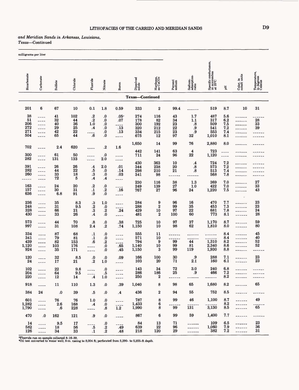*and Meridian Sands in Arkansas, Louisiana,*   $Texas$ —Continued

milligrams per liter

| Bicarbonate                          | Carbonate                                                                                                                                                                                                                                                                                                                                                                                                         | Sulfate                          | Chloride                          | Fluoride                                                             | Nitrate                                                    | Boron                                              | Dissolved<br>solids                    | Hardness,<br>as CaCOs                | Percent<br>sodium                | Sodium-<br>adsorption-<br>ratio                   | Specific conductance,<br>in micromhos<br>at 25°C | $\overline{\text{H}}$                  | n<br>mits<br>Color, | Temperature,<br>in degrees<br>Celsius |
|--------------------------------------|-------------------------------------------------------------------------------------------------------------------------------------------------------------------------------------------------------------------------------------------------------------------------------------------------------------------------------------------------------------------------------------------------------------------|----------------------------------|-----------------------------------|----------------------------------------------------------------------|------------------------------------------------------------|----------------------------------------------------|----------------------------------------|--------------------------------------|----------------------------------|---------------------------------------------------|--------------------------------------------------|----------------------------------------|---------------------|---------------------------------------|
|                                      |                                                                                                                                                                                                                                                                                                                                                                                                                   |                                  |                                   |                                                                      |                                                            |                                                    | <b>Texas-Continued</b>                 |                                      |                                  |                                                   |                                                  |                                        |                     |                                       |
| 201                                  | 6                                                                                                                                                                                                                                                                                                                                                                                                                 | 67                               | 10                                | 0.1                                                                  | 1.8                                                        | 0.59                                               | 333                                    | 2                                    | 99.4                             | ------                                            | 519                                              | 8.7                                    | 10                  | 31                                    |
| 38<br>51<br>206<br>272<br>271<br>504 | ----<br>$---$<br>----<br>----                                                                                                                                                                                                                                                                                                                                                                                     | 41<br>32<br>40<br>29<br>42<br>65 | 102<br>44<br>36<br>25<br>22<br>44 | $\boldsymbol{.2}$<br>$\cdot^2$<br>1.0<br>.4<br>$-5.6$                | .0<br>.0<br>.0<br>.0<br>$\boldsymbol{0}$<br>.0             | $.05^{\circ}$<br>.07<br>----<br>.13<br>.13<br>---- | 274<br>178<br>300<br>320<br>334<br>675 | 116<br>82<br>192<br>212<br>215<br>12 | 43<br>34<br>23<br>22<br>23<br>97 | 1.7<br>1.1<br>.8<br>.9<br>.9<br>32                | 487<br>317<br>509<br>541<br>553<br>1,010         | 5.6<br>6.2<br>7.5<br>7.2<br>7.4<br>8.1 |                     | 28<br>33<br>39                        |
| 702                                  | ----                                                                                                                                                                                                                                                                                                                                                                                                              | 2.4                              | 620                               |                                                                      | $\cdot^2$                                                  | 1.6                                                | 1,650                                  | 14                                   | 99                               | 76                                                | 2,880                                            | 8.0                                    |                     |                                       |
| 300<br>282                           | ----                                                                                                                                                                                                                                                                                                                                                                                                              | 61<br>131                        | 50<br>133                         | ----<br>$- - - -$                                                    | $\cdot$<br>2.0                                             | ----                                               | 442<br>711                             | 141<br>24                            | 63<br>96                         | 4<br>22                                           | 723<br>1,120                                     | ----<br>$- - - -$                      |                     |                                       |
| 391<br>282<br>260<br>----            | ----<br>----<br>----                                                                                                                                                                                                                                                                                                                                                                                              | 26<br>44<br>33<br>72             | 26<br>22<br>18<br>5               | ----<br>.4<br>.5<br>$\boldsymbol{.3}$<br>.4                          | 2.0<br>.0<br>$\boldsymbol{0}$<br>$\cdot$                   | ----<br>.01<br>.14<br>.03                          | 430<br>344<br>298<br>341               | 363<br>238<br>210<br>98              | 10<br>20<br>21                   | $\cdot$<br>$\boldsymbol{.8}$<br>$\boldsymbol{.8}$ | 724<br>573<br>513<br>568                         | 7.2<br>7.2<br>7.4<br>7.8               |                     |                                       |
| 163<br>157<br>636                    | ----<br>$---$<br>$- - - -$                                                                                                                                                                                                                                                                                                                                                                                        | 24<br>30<br>6.8                  | 20<br>31<br>91                    | $\boldsymbol{.2}$<br>$\cdot$ 1<br>.9                                 | $\bf{.0}$<br>$\cdot$<br>$\bf{0}$                           | $- - - -$<br>----<br>.16<br>----                   | 230<br>249<br>767                      | 116<br>139<br>27                     | 38<br>27<br>96                   | 1.3<br>1.0<br>24                                  | 369<br>422<br>1,220                              | 7.0<br>7.0<br>7.5                      |                     | 27<br>33<br>43                        |
| 236<br>248<br>328<br>430             | ----<br>----<br>$---$<br>$\frac{1}{2}$                                                                                                                                                                                                                                                                                                                                                                            | 35<br>31<br>66<br>33             | 8.3<br>9.5<br>21<br>26            | $\boldsymbol{.3}$<br>$\boldsymbol{.2}$<br>$\overline{.3}$<br>$\cdot$ | 1.0<br>.0<br>$\cdot$ .2<br>$\bf{.0}$                       | ----<br>.24<br>----                                | 284<br>288<br>429<br>481               | 9<br>2<br>10<br>$\boldsymbol{2}$     | 96<br>99<br>97<br>100            | 16<br>35<br>22<br>60                              | 470<br>453<br>681<br>773                         | 7.7<br>7.3<br>7.8<br>8.1               |                     | 23<br>23<br>24<br>28                  |
| 573<br>997                           | $---$<br>----                                                                                                                                                                                                                                                                                                                                                                                                     | 44<br>31                         | 70<br>108                         | $\boldsymbol{.8}$<br>2.4                                             | $\bf{0}$<br>$\cdot^2$                                      | .38<br>.74                                         | 725<br>1,150                           | 10<br>10                             | 97<br>98                         | 37<br>62                                          | 1,170<br>1,810                                   | 8.7<br>8.0                             | ------<br>-------   | 59<br>80                              |
| 334<br>341<br>439<br>1,120<br>924    | ----<br>$- - - -$<br>$- - - -$<br>$- - - -$                                                                                                                                                                                                                                                                                                                                                                       | 87<br>79<br>82<br>103<br>35      | 68<br>81<br>153<br>176<br>171     | $\cdot$<br>$\cdot$<br>6.                                             | $\bf{0}$<br>$\bf{0}$<br>$\cdot$<br>$\bf{0}$<br>.0          | $---$<br>----<br>----<br>.65<br>.45                | 555<br>571<br>794<br>1,140<br>1,150    | 11<br>10<br>9<br>10<br>3             | 99<br>99<br>99                   | 44<br>81<br>119                                   | 1,310<br>2,340<br>1,930                          | 8.4<br>8.4<br>8.2<br>8.6<br>8.8        |                     | 45<br>40<br>52<br>52                  |
| 120<br>24                            | ----<br>----                                                                                                                                                                                                                                                                                                                                                                                                      | 32<br>17                         | 8.5<br>21                         | $\bf{0}$<br>$\cdot^2$                                                | $\cdot$<br>1.0                                             | .09<br>$- - - -$                                   | 166<br>103                             | 100<br>20                            | 30<br>71                         | .9<br>2.1                                         | 288<br>160                                       | 7.1<br>6.1                             | ------              | 23<br>23                              |
| 102<br>204<br>220                    | $---$<br>$---$<br>----                                                                                                                                                                                                                                                                                                                                                                                            | 22<br>64<br>12                   | 9.8<br>9.5<br>14                  | $- - - - -$<br>$---$<br>$\cdot$ <b>4</b>                             | .0<br>$\ddot{\textbf{5}}$<br>$1.0\,$                       | ----<br>$---$<br>----                              | 143<br>286<br>250                      | 34<br>186<br>2                       | 72<br>25                         | 3.0<br>.9                                         | 240<br>466<br>$- - - - - -$                      | 6.8<br>7.2<br>8.2                      |                     |                                       |
| 918                                  | $\frac{1}{2}$                                                                                                                                                                                                                                                                                                                                                                                                     | 11                               | 110                               | 1.3                                                                  | $\bf{0}$                                                   | .39                                                | 1,040                                  | 8                                    | 98                               | 65                                                | 1,680                                            | 8.2                                    | -------             | 65                                    |
| 384                                  | 24                                                                                                                                                                                                                                                                                                                                                                                                                | $\boldsymbol{0}$                 | 39                                | .5                                                                   | $\bf{0}$                                                   | $\cdot$ 4                                          | 436                                    | 2                                    | 94                               | 55                                                | 752                                              | 8.5                                    |                     |                                       |
| 601<br>1,282<br>1,790                | $- - - -$<br>----<br>$\frac{1}{2} \frac{1}{2} \frac{1}{2} \frac{1}{2} \frac{1}{2} \frac{1}{2} \frac{1}{2} \frac{1}{2} \frac{1}{2} \frac{1}{2} \frac{1}{2} \frac{1}{2} \frac{1}{2} \frac{1}{2} \frac{1}{2} \frac{1}{2} \frac{1}{2} \frac{1}{2} \frac{1}{2} \frac{1}{2} \frac{1}{2} \frac{1}{2} \frac{1}{2} \frac{1}{2} \frac{1}{2} \frac{1}{2} \frac{1}{2} \frac{1}{2} \frac{1}{2} \frac{1}{2} \frac{1}{2} \frac{$ | 76<br>2.6<br>.6                  | 76<br>168<br>228                  | 1.0<br>$\cdot$<br>----                                               | $\bf{0}$<br>.0<br>.8                                       | $- - - -$<br>----<br>$1.2\,$                       | 787<br>1,433<br>1,990                  | 8<br>6<br>8                          | 99<br>99                         | 46<br>131                                         | 1,100<br>3,130                                   | 8.7<br>8.2<br>8.5                      |                     | 49<br>65                              |
| 470                                  | $\cdot$                                                                                                                                                                                                                                                                                                                                                                                                           | 162                              | 121                               | .9                                                                   | $\bf{0}$                                                   | ----                                               | 867                                    | 6                                    | 99                               | 59                                                | 1,400                                            | 7.7                                    |                     |                                       |
| 14<br>582<br>126                     | $\frac{1}{2}$<br>$- - - -$<br>$\frac{1}{2}$ and $\frac{1}{2}$                                                                                                                                                                                                                                                                                                                                                     | 9.5<br>18<br>34                  | 17<br>56<br>33                    | ----<br>$.5\,$<br>$\cdot$                                            | $\boldsymbol{0}$<br>$\boldsymbol{.2}$<br>$\boldsymbol{.2}$ | ----<br>.49<br>.48                                 | 84<br>639<br>218                       | 13<br>22<br>120                      | 71<br>96<br>29                   |                                                   | 109<br>1,060<br>382                              | 6.5<br>7.9<br>7.2                      |                     | 23<br>36<br>31                        |

3Fluoride run on sample collected 8-16-39. 4Oil test converted to water well; 8-in. casing to 8,004 ft; perforated from 5,290- to 5,355-ft depth.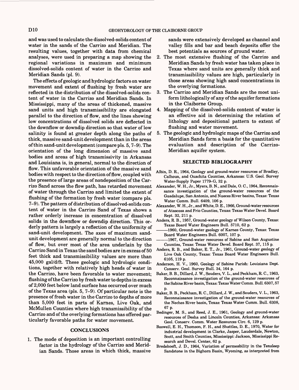and was used to calculate the dissolved-solids content of water in the sands of the Carrizo and Meridian. The resulting values, together with data from chemical analyses, were used in preparing a map showing the regional variations in maximum and minimum dissolved-solids content of water in the Carrizo and Meridian Sands (pi. 9).

The effects of geologic and hydrologic factors on water movement and extent of flushing by fresh water are reflected in the distribution of the dissolved-solids content of water in the Carrizo and Meridian Sands. In Mississippi, many of the areas of thickened, massive sand units and high transmissibility are elongated parallel to the direction of flow, and the lines showing low concentrations of dissolved solids are deflected in the downflow or downdip direction so that water of low salinity is found at greater depth along the paths of thick, massive sand-unit development than in the areas of thin sand-unit development (compare pis. 5, 7-9). The orientation of the long dimension of massive sand bodies and areas of high transmissivity in Arkansas and Louisiana is, in general, normal to the direction of flow. This unfavorable orientation of the massive sand bodies with respect to the direction of flow, coupled with the presence of large areas of nondeposition of the Carrizo Sand across the flow path, has retarded movement of water through the Carrizo and limited the extent of flushing of the formation by fresh water (compare pis. 7-9). The pattern of distribution of dissolved-solids content of water in the Carrizo Sand of Texas shows a rather orderly increase in concentration of dissolved solids in the downflow or downdip direction. This orderly pattern is largely a reflection of the uniformity of sand-unit development. The axes of maximum sandunit development are generally normal to the direction of flow, but over most of the area underlain by the Carrizo Sand in Texas the sand bodies are in excess of 50 feet thick and transmissibility values are more than 45,000 gal/d/ft. These geologic and hydrologic conditions, together with relatively high heads of water in the Carrizo, have been favorable to water movement; flushing of the Carrizo by fresh water to depths in excess of 2,000 feet below land surface has occurred over much of the Texas area (pis. 5, 7-9). Of particular note is the presence of fresh water in the Carrizo to depths of more than 5,000 feet in parts of Karnes, Live Oak, and McMullen Counties where high transmissibility of the Carrizo and of the overlying formations has offered particularly favorable paths for water movement.

#### **CONCLUSIONS**

1. The mode of deposition is an important controlling factor in the hydrology of the Carrizo and Meridian Sands. Those areas in which thick, massive sands were extensively developed as channel and valley fills and bar and beach deposits offer the best potentials as sources of ground water.

- 2. The most extensive flushing of the Carrizo and Meridian Sands by fresh water has taken place in Texas where sand units are generally thick and transmissibility values are high, particularly in those areas showing high sand concentrations in the overlying formations.
- 3. The Carrizo and Meridian Sands are the most uniform lithologically of any of the aquifer formations in the Claiborne Group.
- 4. Mapping of the dissolved-solids content of water is an effective aid in determining the relation of lithology and depositional pattern to extent of flushing and water movement.
- 5. The geologic and hydrologic maps of the Carrizo and Meridian Sands form a basis for the quantitative evaluation and description of the Carrizo-Meridian aquifer system.

### **SELECTED BIBLIOGRAPHY**

- Albin, D. R., 1964, Geology and ground-water resources of Bradley, Calhoun, and Ouachita Counties, Arkansas: U.S. Geol. Survey Water-Supply Paper 1779-G, 32 p.
- Alexander, W. H., Jr., Myers, B. N., and Dale, O. C., 1964, Reconnaissance investigation of the ground-water resources of the Guadalupe, San Antonio, and Nueces River basins, Texas: Texas Water Comm. Bull. 6409, 106 p.
- Alexander, W. H., Jr., and White, D. E., 1966, Ground-water resources of Atascosa and Frio Counties, Texas: Texas Water Devel. Board Kept. 32, 211 p.
- Anders, R. B., 1957, Ground-water geology of Wilson County, Texas: Texas Board Water Engineers Bull. 5710, 62 p.
- 1960, Ground-water geology of Karnes County, Texas: Texas Board Water Engineers Bull. 6007, 107 p.
- -1967, Ground-water resources of Sabine and San Augustine Counties, Texas: Texas Water Devel. Board Rept. 37, 115 p.
- Anders, R. B., and Baker, E. T., Jr., 1961, Ground-water geology of Live Oak County, Texas: Texas Board Water Engineers Bull. 6105, 119 p.
- Anderson, H. V., 1960, Geology of Sabine Parish: Louisiana Dept. Conserv. Geol. Survey Bull. 34, 164 p.
- Baker, B. B., Dillard, J. W., Souders, V. L., and Peckham, R. C., 1963, Reconnaissance investigation of the ground-water resources of the Sabine River basin, Texas: Texas Water Comm. Bull. 6307,57 P-
- Baker, B. B., Peckham, R. C., Dillard, J. W., and Souders, V. L., 1963, Reconnaissance investigation of the ground-water resources of the Neches River basin, Texas: Texas Water Comm. Bull. 6308, 67 p.
- Bedinger, M. S., and Reed, J. E., 1961, Geology and ground-water resources of Desha and Lincoln Counties, Arkansas: Arkansas Geol. Conserv. Comm. Water Resources Circ. 6, 129 p.
- Boswell, E. H., Thomson, F. H., and Shattles, D. E., 1970, Water for industrial development in Clarke, Jasper, Lauderdale, Newton, Scott, and Smith Counties, Mississippi: Jackson, Mississippi Research and Devel. Center, 62 p.
- Bredehoeft, J. D., 1964, Variation of permeability in the Tensleep Sandstone in the Bighorn Basin, Wyoming, as interpreted from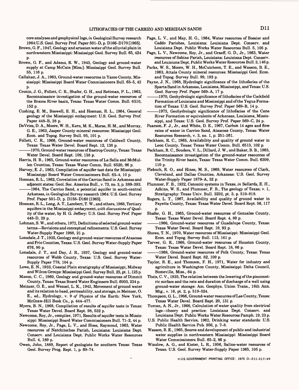core analyses and geophysical logs, *in* Geological Survey research 1964:U.S. Geol. Survey Prof. Paper 501-D, p. D166-D170 [1965].

- Brown, G. F., 1947, Geology and artesian water of the alluvial plain in northwestern Mississippi: Mississippi Geol. Survey Bull. 65, 424 P-
- Brown, G. F., and Adams, R. W., 1943, Geology and ground-water supply at Camp McCain [Miss.]: Mississippi Geol. Survey Bull. 55, 116 p.
- Callahan, J. A., 1963, Ground-water resources in Yazoo County, Mississippi: Mississippi Board Water Commissioners Bull. 63-5, 42 p.
- Cronin, J. G., Follett, C. R., Shafer, G. H., and Rettman, P. L., 1963, Reconnaissance investigation of the ground-water resources of the Brazos River basin, Texas: Texas Water Comm. Bull. 6310, 152 p.
- Gushing, E. M., Boswell, E. H., and Hosman, R. L., 1964, General geology of the Mississippi embayment: U.S. Geol. Survey Prof. Paper 448-B, 28 p.
- DeVries, D. A., Moore, W. H., Kern, M. K., Morse, H. M., and Murray, G. E., 1963, Jasper County mineral resources: Mississippi Geol. Econ. and Topog. Survey Bull. 95, 101 p.
- Follett, C. R., 1966, Ground-water resources of Caldwell County, Texas: Texas Water Devel. Board Rept. 12, 138 p.
- 1970, Ground-water resources of Bastrop County, Texas: Texas Water Devel. Board Rept. 109, 138 p.
- Harris, H. B., 1965, Ground-water resources of La Salle and McMullen Counties, Texas: Texas Water Comm. Bull. 6520, 96 p.
- Harvey, E. J., 1963, Compilation of aquifer test data for Mississippi: Mississippi Board Water Commissioners Bull. 63-4, 10 p.
- Hosman, R. L., 1962, Correlation of the Carrizo Sand in Arkansas and adjacent states: Geol. Soc. America Bull., v. 73, no. 3, p. 389-393. 1964, The Carrizo Sand, a potential aquifer in south-central Arkansas, *in* Geological Survey research 1964: U.S. Geol. Survey Prof. Paper 501-D, p. D158-D160 [1965].
- Hosman, R. L., Long, A. T., Lambert, T. W., and others, 1968, Tertiary aquifers in the Mississippi embayment, *with discussions of* Quality of the water, by H. G. Jeffery: U.S. Geol. Survey Prof. Paper 448-D, 29 p.
- Lohman, S. W., and others, 1972, Definitions of selected ground-water terms-Revisions and conceptual refinements: U.S. Geol. Survey Water-Supply Paper 1988, 21 p.
- Lonsdale, J. T., 1935, Geology and ground-water resources of Atascosa and Frio Counties, Texas: U.S. Geol. Survey Water-Supply Paper 676, 90 p.
- Lonsdale, J. T., and Day, J. R., 1937, Geology and ground-water resources of Webb County, Texas: U.S. Geol. Survey Water-Supply Paper 778, 104 p.
- Lowe, E. N., 1933, Coastal Plain stratigraphy of Mississippi, Midway and Wilcox Groups: Mississippi Geol. Survey Bull. 25, pt. 1,125 p.
- Mason, C. C., 1960, Geology and ground-water resources of Dimmit County, Texas: Texas Board Water Engineers Bull. 6003, 234 p.
- Meinzer, O. E., and Wenzel, L. K., 1942, Movement of ground water and its relation to head, permeability, and storage, *in* Meinzer, O. E., ed., Hydrology, v. 9 *of* Physics of the Earth: New York, McGraw-Hill Book Co., p. 444-477.
- Myers, B. N., 1969, Compilation of results of aquifer tests in Texas: Texas Water Devel. Board Rept. 98, 532 p.
- Newcome, Roy, Jr., compiler, 1971, Results of aquifer tests in Mississippi: Mississippi Board Water Commissioners Bull. 71-2, 44 p.
- Newcome, Roy, Jr., Page, L. V., and Sloss, Raymond, 1963, Water resources of Natchitoches Parish, Louisiana: Louisiana Dept. Conserv. and Louisiana Dept. Public Works Water Resources Bull. 4, 189 p.
- Owen, John, 1889, Report of geologists for southern Texas: Texas Geol. Survey Prog. Rept. 1, p. 69-74.
- Page, L. V., and May, H. G., 1964, Water resources of Bossier and Caddo Parishes, Louisiana: Louisiana Dept. Conserv. and Louisiana Dept. Public Works Water Resources Bull. 5, 105 p.
- Page, L. V., Newcome, Roy, Jr., and Graeff, G. D., Jr., 1963, Water resources of Sabine Parish, Louisiana: Louisiana Dept. Conserv. and Louisiana Dept. Public Works Water Resources Bull. 3,146 p.
- Parks, W. S., Moore, W. H., McCutcheon, T. E., and Wasson, B. E., 1963, Attala County mineral resources: Mississippi Geol. Econ. and Topog. Survey Bull. 99, 192 p.
- Payne, J. N., 1968, Hydrologic significance of the lithofacies of the Sparta Sand in Arkansas, Louisiana, Mississippi, and Texas: U.S. Geol. Survey Prof. Paper 569-A, 17 p.
- 1970, Geohydrologic significance of lithofacies of the Cockfield Formation of Louisiana and Mississippi and of the Yegua Formation of Texas: U.S. Geol. Survey Prof. Paper 569-B, 14 p.
- -1973, Geohydrologic significance of lithofacies of the Cane River Formation or equivalents of Arkansas, Louisiana, Mississippi, and Texas: U.S. Geol. Survey Prof. Paper 569-C, 24 p.
- Pearson, F. J., Jr., and White, D. E., 1967, Carbon 14 ages and flow rates of water in Carrizo Sand, Atascosa County, Texas: Water Resources Research, v. 3, no. 1, p. 251-261.
- Peckham, R. C., 1965, Availability and quality of ground water in Leon County, Texas: Texas Water Comm. Bull. 6513, 102 p.
- Peckham, R. C., Souders, V. L., Dillard, J. W., and Baker, B. B., 1963, Reconnaissance investigation of the ground-water resources of the Trinity River basin, Texas: Texas Water Comm. Bull. 6309, 110 p.
- Plebuch, R. O., and Hines, M. S., 1969, Water resources of Clark, Cleveland, and Dallas Counties, Arkansas: U.S. Geol. Survey Water-Supply Paper 1879-A, 32 p.
- Plummer, F. B., 1932, Cenozoic systems in Texas, *in* Sellards, E. H., Adkins, W. S., and Plummer, F. B., The geology of Texas; v. 1, Stratigraphy: Texas Univ. Bull. 3232, pt. 3, p. 519-818.
- Rogers, L. T., 1967, Availability and quality of ground water in Fayette County, Texas: Texas Water Devel. Board Rept. 56,117 P-
- Shafer, G. H., 1965, Ground-water resources of Gonzales County, Texas: Texas Water Devel. Board Rept. 4, 89 p.
- 1966, Ground-water resources of Guadalupe County, Texas: Texas Water Devel. Board Rept. 19, 93 p.
- Shows, T. N., 1970, Water resources of Mississippi: Mississippi Geol. Econ. and Topog. Survey Bull. 113, 161 p.
- Tarver, G. R., 1966, Ground-water resources of Houston County, Texas: Texas Water Devel. Board Rept. 18, 86 p.
- 1968, Ground-water resources of Polk County, Texas: Texas Water Devel. Board Rept. 82, 109 p.
- Taylor, R. E., and Thomson, F. H., 1971, Water for industry and agriculture in Washington County, Mississippi: Delta Council, Stoneville, Miss., 64 p.
- Theis, C. V., 1935, The relation between the lowering of the piezometric surface and the rate and duration of discharge of a well using ground-water storage: Am. Geophys. Union Trans., 16th Ann. Mtg., v. 16, pt. 2, p. 519-524.
- Thompson, G. L., 1966, Ground-water resources of Lee County, Texas: Texas Water Devel. Board Rept. 20, 131 p.
- Turcan, A. N., Jr., 1966, Calculation of water quality from electrical logs---theory and practice: Louisiana Dept. Conserv. and Louisiana Dept. Public Works Water Resources Pamph. 19, 23 p.
- U.S. Public Health Service, 1962, Drinking water standards: U.S. Public Health Service Pub. 956, p. 7-8.
- Wasson, B. E., 1965, Source and development of public and industrial water supplies in northwestern Mississippi: Mississippi Board Water Commissioners Bull. 65-2, 86 p.
- Winslow, A. G., and Kister, L. R., 1956, Saline-water resources of Texas: U.S. Geol. Survey Water-Supply Paper 1365, 105 p.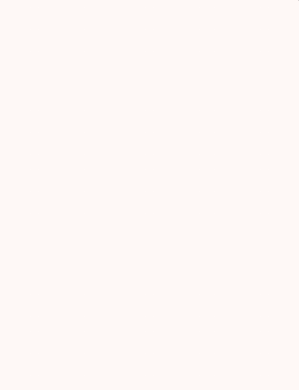$\mathcal{L}(\mathcal{L})$  and  $\mathcal{L}(\mathcal{L})$  . In the  $\mathcal{L}(\mathcal{L})$